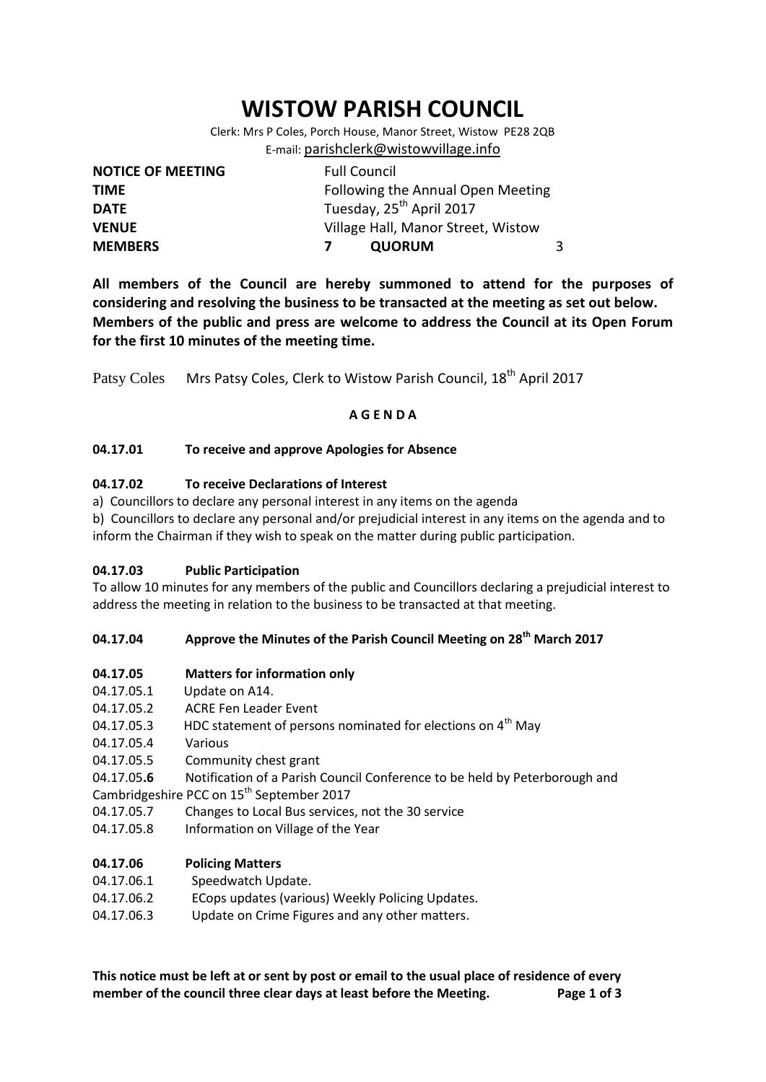# **WISTOW PARISH COUNCIL**

Clerk: Mrs P Coles, Porch House, Manor Street, Wistow PE28 2QB E-mail: [parishclerk@wistowvillage.info](mailto:parishclerk@wistowvillage.info)

| <b>NOTICE OF MEETING</b> | <b>Full Council</b>                  |   |
|--------------------------|--------------------------------------|---|
| <b>TIME</b>              | Following the Annual Open Meeting    |   |
| <b>DATE</b>              | Tuesday, 25 <sup>th</sup> April 2017 |   |
| <b>VENUE</b>             | Village Hall, Manor Street, Wistow   |   |
| <b>MEMBERS</b>           | <b>QUORUM</b>                        | 3 |

**All members of the Council are hereby summoned to attend for the purposes of considering and resolving the business to be transacted at the meeting as set out below. Members of the public and press are welcome to address the Council at its Open Forum for the first 10 minutes of the meeting time.**

Patsy Coles Mrs Patsy Coles, Clerk to Wistow Parish Council, 18<sup>th</sup> April 2017

# **A G E N D A**

# **04.17.01 To receive and approve Apologies for Absence**

# **04.17.02 To receive Declarations of Interest**

a) Councillors to declare any personal interest in any items on the agenda

b) Councillors to declare any personal and/or prejudicial interest in any items on the agenda and to inform the Chairman if they wish to speak on the matter during public participation.

#### **04.17.03 Public Participation**

To allow 10 minutes for any members of the public and Councillors declaring a prejudicial interest to address the meeting in relation to the business to be transacted at that meeting.

# **04.17.04 Approve the Minutes of the Parish Council Meeting on 28th March 2017**

# **04.17.05 Matters for information only**

- 04.17.05.1 Update on A14.
- 04.17.05.2 ACRE Fen Leader Event
- 04.17.05.3 HDC statement of persons nominated for elections on  $4<sup>th</sup>$  May
- 04.17.05.4 Various
- 04.17.05.5 Community chest grant
- 04.17.05**.6** Notification of a Parish Council Conference to be held by Peterborough and
- Cambridgeshire PCC on 15<sup>th</sup> September 2017
- 04.17.05.7 Changes to Local Bus services, not the 30 service
- 04.17.05.8 Information on Village of the Year

#### **04.17.06 Policing Matters**

- 04.17.06.1 Speedwatch Update.
- 04.17.06.2 ECops updates (various) Weekly Policing Updates.
- 04.17.06.3 Update on Crime Figures and any other matters.

**This notice must be left at or sent by post or email to the usual place of residence of every member of the council three clear days at least before the Meeting. Page 1 of 3**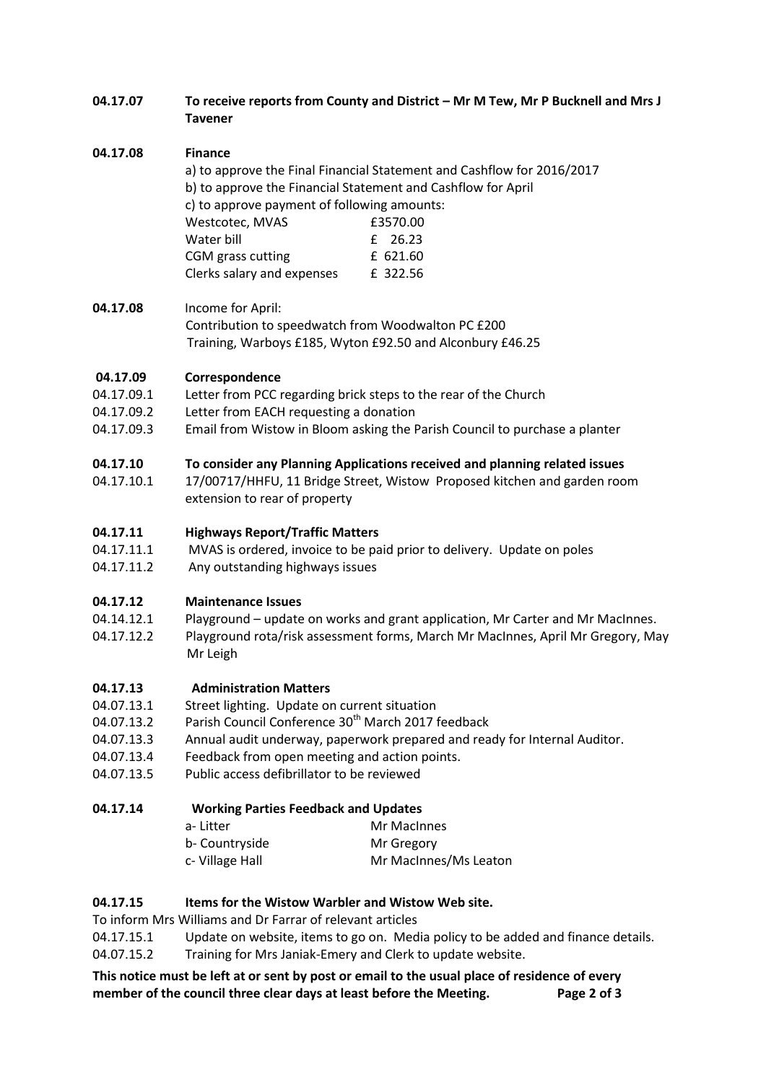**04.17.07 To receive reports from County and District – Mr M Tew, Mr P Bucknell and Mrs J Tavener**

# **04.17.08 Finance**

a) to approve the Final Financial Statement and Cashflow for 2016/2017 b) to approve the Financial Statement and Cashflow for April c) to approve payment of following amounts: Westcotec, MVAS 63570.00 Water bill **E** 26.23 CGM grass cutting E 621.60 Clerks salary and expenses E 322.56

**04.17.08** Income for April: Contribution to speedwatch from Woodwalton PC £200 Training, Warboys £185, Wyton £92.50 and Alconbury £46.25

# **04.17.09 Correspondence**

- 04.17.09.1 Letter from PCC regarding brick steps to the rear of the Church
- 04.17.09.2 Letter from EACH requesting a donation
- 04.17.09.3 Email from Wistow in Bloom asking the Parish Council to purchase a planter

# **04.17.10 To consider any Planning Applications received and planning related issues**

04.17.10.1 17/00717/HHFU, 11 Bridge Street, Wistow Proposed kitchen and garden room extension to rear of property

# **04.17.11 Highways Report/Traffic Matters**

- 04.17.11.1 MVAS is ordered, invoice to be paid prior to delivery. Update on poles
- 04.17.11.2 Any outstanding highways issues

# **04.17.12 Maintenance Issues**

- 04.14.12.1 Playground update on works and grant application, Mr Carter and Mr MacInnes.
- 04.17.12.2 Playground rota/risk assessment forms, March Mr MacInnes, April Mr Gregory, May Mr Leigh

#### **04.17.13 Administration Matters**

- 04.07.13.1 Street lighting. Update on current situation
- 04.07.13.2 Parish Council Conference 30<sup>th</sup> March 2017 feedback
- 04.07.13.3 Annual audit underway, paperwork prepared and ready for Internal Auditor.
- 04.07.13.4 Feedback from open meeting and action points.
- 04.07.13.5 Public access defibrillator to be reviewed

#### **04.17.14 Working Parties Feedback and Updates**

| a- Litter       | Mr MacInnes           |
|-----------------|-----------------------|
| b- Countryside  | Mr Gregory            |
| c- Village Hall | Mr MacInnes/Ms Leaton |

#### **04.17.15 Items for the Wistow Warbler and Wistow Web site.**

To inform Mrs Williams and Dr Farrar of relevant articles

04.17.15.1 Update on website, items to go on. Media policy to be added and finance details.

04.07.15.2 Training for Mrs Janiak-Emery and Clerk to update website.

**This notice must be left at or sent by post or email to the usual place of residence of every member of the council three clear days at least before the Meeting. Page 2 of 3**